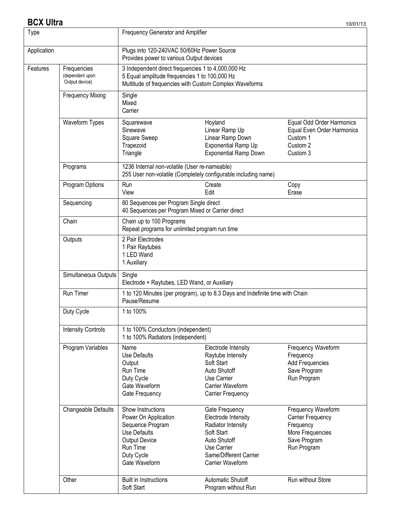### **BCX Ultra** 10/01/13

| Type        |                                                  | Frequency Generator and Amplifier                                                                                                                             |                                                                                                                                                        |                                                                                                                |  |  |
|-------------|--------------------------------------------------|---------------------------------------------------------------------------------------------------------------------------------------------------------------|--------------------------------------------------------------------------------------------------------------------------------------------------------|----------------------------------------------------------------------------------------------------------------|--|--|
| Application |                                                  | Plugs into 120-240VAC 50/60Hz Power Source<br>Provides power to various Output devices                                                                        |                                                                                                                                                        |                                                                                                                |  |  |
| Features    | Frequencies<br>(dependent upon<br>Output device) | 3 Independent direct frequencies 1 to 4,000,000 Hz<br>5 Equal amplitude frequencies 1 to 100,000 Hz<br>Multitude of frequencies with Custom Complex Waveforms |                                                                                                                                                        |                                                                                                                |  |  |
|             | <b>Frequency Mixing</b>                          | Single<br>Mixed<br>Carrier                                                                                                                                    |                                                                                                                                                        |                                                                                                                |  |  |
|             | <b>Waveform Types</b>                            | Squarewave<br>Sinewave<br>Square Sweep<br>Trapezoid<br>Triangle                                                                                               | Hoyland<br>Linear Ramp Up<br>Linear Ramp Down<br><b>Exponential Ramp Up</b><br><b>Exponential Ramp Down</b>                                            | Equal Odd Order Harmonics<br>Equal Even Order Harmonics<br>Custom 1<br>Custom 2<br>Custom 3                    |  |  |
|             | Programs                                         | 1236 Internal non-volatile (User re-nameable)<br>255 User non-volatile (Completely configurable including name)                                               |                                                                                                                                                        |                                                                                                                |  |  |
|             | Program Options                                  | Run<br>View                                                                                                                                                   | Create<br>Edit                                                                                                                                         | Copy<br>Erase                                                                                                  |  |  |
|             | Sequencing                                       | 80 Sequences per Program Single direct<br>40 Sequences per Program Mixed or Carrier direct                                                                    |                                                                                                                                                        |                                                                                                                |  |  |
|             | Chain                                            | Chain up to 100 Programs<br>Repeat programs for unlimited program run time                                                                                    |                                                                                                                                                        |                                                                                                                |  |  |
|             | Outputs                                          | 2 Pair Electrodes<br>1 Pair Raytubes<br>1 LED Wand<br>1 Auxiliary                                                                                             |                                                                                                                                                        |                                                                                                                |  |  |
|             | Simultaneous Outputs                             | Single<br>Electrode + Raytubes, LED Wand, or Auxiliary                                                                                                        |                                                                                                                                                        |                                                                                                                |  |  |
|             | Run Timer                                        | Pause/Resume                                                                                                                                                  | 1 to 120 Minutes (per program), up to 8.3 Days and Indefinite time with Chain                                                                          |                                                                                                                |  |  |
|             | Duty Cycle                                       | 1 to 100%                                                                                                                                                     |                                                                                                                                                        |                                                                                                                |  |  |
|             | <b>Intensity Controls</b>                        | 1 to 100% Conductors (independent)<br>1 to 100% Radiators (independent)                                                                                       |                                                                                                                                                        |                                                                                                                |  |  |
|             | Program Variables                                | Name<br>Use Defaults<br>Output<br>Run Time<br>Duty Cycle<br>Gate Waveform<br>Gate Frequency                                                                   | Electrode Intensity<br>Raytube Intensity<br>Soft Start<br>Auto Shutoff<br>Use Carrier<br>Carrier Waveform<br><b>Carrier Frequency</b>                  | Frequency Waveform<br>Frequency<br>Add Frequencies<br>Save Program<br>Run Program                              |  |  |
|             | Changeable Defaults                              | Show Instructions<br>Power On Application<br>Sequence Program<br><b>Use Defaults</b><br><b>Output Device</b><br>Run Time<br>Duty Cycle<br>Gate Waveform       | Gate Frequency<br>Electrode Intensity<br>Radiator Intensity<br>Soft Start<br>Auto Shutoff<br>Use Carrier<br>Same/Different Carrier<br>Carrier Waveform | Frequency Waveform<br><b>Carrier Frequency</b><br>Frequency<br>More Frequencies<br>Save Program<br>Run Program |  |  |
|             | Other                                            | <b>Built in Instructions</b><br>Soft Start                                                                                                                    | Automatic Shutoff<br>Program without Run                                                                                                               | Run without Store                                                                                              |  |  |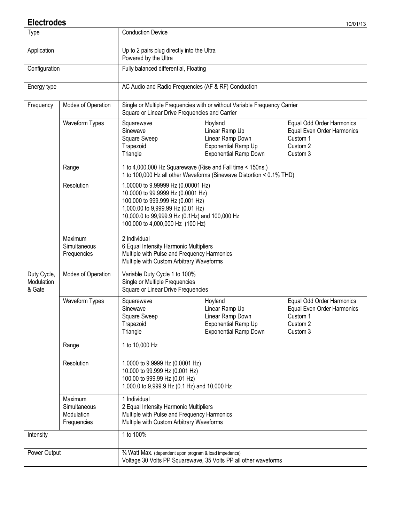#### **Electrodes** 10/01/13

| <b>Type</b>                                                                                                                                                      |                                                      | <b>Conduction Device</b>                                                                                                                                                                                                                                               |                                                                                             |  |  |
|------------------------------------------------------------------------------------------------------------------------------------------------------------------|------------------------------------------------------|------------------------------------------------------------------------------------------------------------------------------------------------------------------------------------------------------------------------------------------------------------------------|---------------------------------------------------------------------------------------------|--|--|
| Application                                                                                                                                                      |                                                      | Up to 2 pairs plug directly into the Ultra<br>Powered by the Ultra                                                                                                                                                                                                     |                                                                                             |  |  |
| Configuration                                                                                                                                                    |                                                      | Fully balanced differential, Floating                                                                                                                                                                                                                                  |                                                                                             |  |  |
| Energy type                                                                                                                                                      |                                                      | AC Audio and Radio Frequencies (AF & RF) Conduction                                                                                                                                                                                                                    |                                                                                             |  |  |
| Frequency                                                                                                                                                        | Modes of Operation                                   | Square or Linear Drive Frequencies and Carrier                                                                                                                                                                                                                         | Single or Multiple Frequencies with or without Variable Frequency Carrier                   |  |  |
|                                                                                                                                                                  | Waveform Types                                       | Equal Odd Order Harmonics<br>Squarewave<br>Hoyland<br>Sinewave<br>Equal Even Order Harmonics<br>Linear Ramp Up<br>Square Sweep<br>Linear Ramp Down<br>Custom 1<br>Trapezoid<br>Exponential Ramp Up<br>Custom 2<br>Triangle<br><b>Exponential Ramp Down</b><br>Custom 3 |                                                                                             |  |  |
|                                                                                                                                                                  | Range                                                | 1 to 4,000,000 Hz Squarewave (Rise and Fall time < 150ns.)                                                                                                                                                                                                             | 1 to 100,000 Hz all other Waveforms (Sinewave Distortion < 0.1% THD)                        |  |  |
|                                                                                                                                                                  | Resolution                                           | 1.00000 to 9.99999 Hz (0.00001 Hz)<br>10.0000 to 99.9999 Hz (0.0001 Hz)<br>100.000 to 999.999 Hz (0.001 Hz)<br>1,000.00 to 9,999.99 Hz (0.01 Hz)<br>10,000.0 to 99,999.9 Hz (0.1Hz) and 100,000 Hz<br>100,000 to 4,000,000 Hz (100 Hz)                                 |                                                                                             |  |  |
|                                                                                                                                                                  | Maximum<br>Simultaneous<br>Frequencies               | 2 Individual<br>6 Equal Intensity Harmonic Multipliers<br>Multiple with Pulse and Frequency Harmonics<br>Multiple with Custom Arbitrary Waveforms                                                                                                                      |                                                                                             |  |  |
| Duty Cycle,<br>Modulation<br>& Gate                                                                                                                              | Modes of Operation                                   | Variable Duty Cycle 1 to 100%<br>Single or Multiple Frequencies<br>Square or Linear Drive Frequencies                                                                                                                                                                  |                                                                                             |  |  |
|                                                                                                                                                                  | Waveform Types                                       | Squarewave<br>Sinewave<br>Square Sweep<br>Trapezoid<br>Triangle                                                                                                                                                                                                        | Equal Odd Order Harmonics<br>Equal Even Order Harmonics<br>Custom 1<br>Custom 2<br>Custom 3 |  |  |
|                                                                                                                                                                  | Range                                                | 1 to 10,000 Hz                                                                                                                                                                                                                                                         |                                                                                             |  |  |
| 1.0000 to 9.9999 Hz (0.0001 Hz)<br>Resolution<br>10.000 to 99.999 Hz (0.001 Hz)<br>100.00 to 999.99 Hz (0.01 Hz)<br>1,000.0 to 9,999.9 Hz (0.1 Hz) and 10,000 Hz |                                                      |                                                                                                                                                                                                                                                                        |                                                                                             |  |  |
|                                                                                                                                                                  | Maximum<br>Simultaneous<br>Modulation<br>Frequencies | 1 Individual<br>2 Equal Intensity Harmonic Multipliers<br>Multiple with Pulse and Frequency Harmonics<br>Multiple with Custom Arbitrary Waveforms                                                                                                                      |                                                                                             |  |  |
| Intensity                                                                                                                                                        |                                                      | 1 to 100%                                                                                                                                                                                                                                                              |                                                                                             |  |  |
| Power Output                                                                                                                                                     |                                                      | 3/4 Watt Max. (dependent upon program & load impedance)<br>Voltage 30 Volts PP Squarewave, 35 Volts PP all other waveforms                                                                                                                                             |                                                                                             |  |  |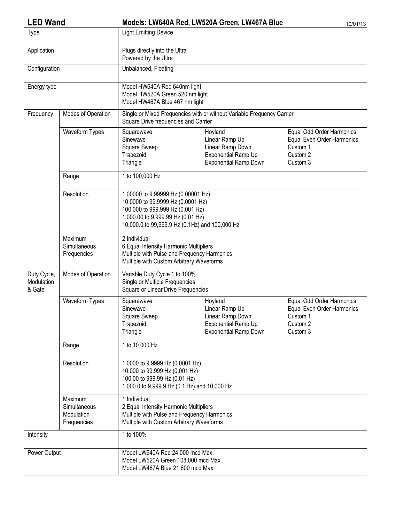| <b>LED Wand</b>                     |                                                      |                                                                                                                                                                                                    | Models: LW640A Red, LW520A Green, LW467A Blue                                                               | 10/01/13                                                                                    |  |  |
|-------------------------------------|------------------------------------------------------|----------------------------------------------------------------------------------------------------------------------------------------------------------------------------------------------------|-------------------------------------------------------------------------------------------------------------|---------------------------------------------------------------------------------------------|--|--|
| Type                                |                                                      | <b>Light Emitting Device</b>                                                                                                                                                                       |                                                                                                             |                                                                                             |  |  |
| Application                         |                                                      | Plugs directly into the Ultra<br>Powered by the Ultra                                                                                                                                              |                                                                                                             |                                                                                             |  |  |
| Configuration                       |                                                      | Unbalanced, Floating                                                                                                                                                                               |                                                                                                             |                                                                                             |  |  |
| Energy type                         |                                                      | Model HW640A Red 640nm light<br>Model HW520A Green 520 nm light<br>Model HW467A Blue 467 nm light                                                                                                  |                                                                                                             |                                                                                             |  |  |
| Frequency                           | Modes of Operation                                   | Square Drive frequencies and Carrier                                                                                                                                                               | Single or Mixed Frequencies with or without Variable Frequency Carrier                                      |                                                                                             |  |  |
|                                     | Waveform Types                                       | Squarewave<br>Sinewave<br>Square Sweep<br>Trapezoid<br>Triangle                                                                                                                                    | Hoyland<br>Linear Ramp Up<br>Linear Ramp Down<br><b>Exponential Ramp Up</b><br><b>Exponential Ramp Down</b> | Equal Odd Order Harmonics<br>Equal Even Order Harmonics<br>Custom 1<br>Custom 2<br>Custom 3 |  |  |
|                                     | Range                                                | 1 to 100,000 Hz                                                                                                                                                                                    |                                                                                                             |                                                                                             |  |  |
|                                     | Resolution                                           | 1.00000 to 9.99999 Hz (0.00001 Hz)<br>10.0000 to 99.9999 Hz (0.0001 Hz)<br>100.000 to 999.999 Hz (0.001 Hz)<br>1,000.00 to 9,999.99 Hz (0.01 Hz)<br>10,000.0 to 99,999.9 Hz (0.1Hz) and 100,000 Hz |                                                                                                             |                                                                                             |  |  |
|                                     | Maximum<br>Simultaneous<br>Frequencies               | 2 Individual<br>6 Equal Intensity Harmonic Multipliers<br>Multiple with Pulse and Frequency Harmonics<br>Multiple with Custom Arbitrary Waveforms                                                  |                                                                                                             |                                                                                             |  |  |
| Duty Cycle,<br>Modulation<br>& Gate | Modes of Operation                                   | Variable Duty Cycle 1 to 100%<br>Single or Multiple Frequencies<br>Square or Linear Drive Frequencies                                                                                              |                                                                                                             |                                                                                             |  |  |
|                                     | Waveform Types                                       | Squarewave<br>Sinewave<br>Square Sweep<br>Trapezoid<br>Triangle                                                                                                                                    | Hoyland<br>Linear Ramp Up<br>Linear Ramp Down<br>Exponential Ramp Up<br><b>Exponential Ramp Down</b>        | Equal Odd Order Harmonics<br>Equal Even Order Harmonics<br>Custom 1<br>Custom 2<br>Custom 3 |  |  |
|                                     | Range                                                | 1 to 10,000 Hz                                                                                                                                                                                     |                                                                                                             |                                                                                             |  |  |
|                                     | Resolution                                           | 1.0000 to 9.9999 Hz (0.0001 Hz)<br>10.000 to 99.999 Hz (0.001 Hz)<br>100.00 to 999.99 Hz (0.01 Hz)<br>1,000.0 to 9,999.9 Hz (0.1 Hz) and 10,000 Hz                                                 |                                                                                                             |                                                                                             |  |  |
|                                     | Maximum<br>Simultaneous<br>Modulation<br>Frequencies | 1 Individual<br>2 Equal Intensity Harmonic Multipliers<br>Multiple with Pulse and Frequency Harmonics<br>Multiple with Custom Arbitrary Waveforms                                                  |                                                                                                             |                                                                                             |  |  |
| Intensity                           |                                                      | 1 to 100%                                                                                                                                                                                          |                                                                                                             |                                                                                             |  |  |
| Power Output                        |                                                      | Model LW640A Red 24,000 mcd Max.<br>Model LW520A Green 108,000 mcd Max.<br>Model LW467A Blue 21,600 mcd Max.                                                                                       |                                                                                                             |                                                                                             |  |  |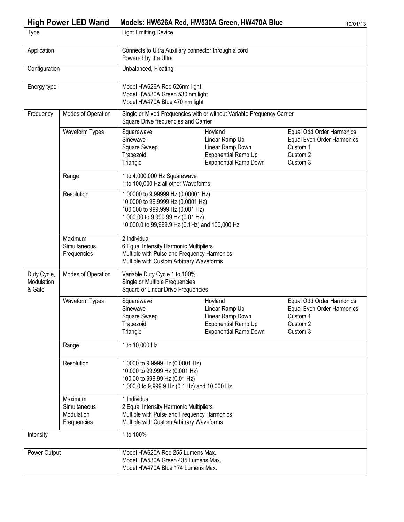## High Power LED Wand Models: HW626A Red, HW530A Green, HW470A Blue 10/01/13

| <b>Type</b>                                                                                                                                                      |                                                                                                                                                                                                           | <b>Light Emitting Device</b>                                                                                                                                                                       |                                                                                                             |                                                                                             |  |
|------------------------------------------------------------------------------------------------------------------------------------------------------------------|-----------------------------------------------------------------------------------------------------------------------------------------------------------------------------------------------------------|----------------------------------------------------------------------------------------------------------------------------------------------------------------------------------------------------|-------------------------------------------------------------------------------------------------------------|---------------------------------------------------------------------------------------------|--|
| Application                                                                                                                                                      |                                                                                                                                                                                                           | Connects to Ultra Auxiliary connector through a cord<br>Powered by the Ultra                                                                                                                       |                                                                                                             |                                                                                             |  |
| Configuration                                                                                                                                                    |                                                                                                                                                                                                           | Unbalanced, Floating                                                                                                                                                                               |                                                                                                             |                                                                                             |  |
| Energy type                                                                                                                                                      |                                                                                                                                                                                                           | Model HW626A Red 626nm light<br>Model HW530A Green 530 nm light<br>Model HW470A Blue 470 nm light                                                                                                  |                                                                                                             |                                                                                             |  |
| Frequency                                                                                                                                                        | Modes of Operation                                                                                                                                                                                        | Square Drive frequencies and Carrier                                                                                                                                                               | Single or Mixed Frequencies with or without Variable Frequency Carrier                                      |                                                                                             |  |
|                                                                                                                                                                  | Waveform Types                                                                                                                                                                                            | Squarewave<br>Sinewave<br>Square Sweep<br>Trapezoid<br>Triangle                                                                                                                                    | Hoyland<br>Linear Ramp Up<br>Linear Ramp Down<br><b>Exponential Ramp Up</b><br><b>Exponential Ramp Down</b> | Equal Odd Order Harmonics<br>Equal Even Order Harmonics<br>Custom 1<br>Custom 2<br>Custom 3 |  |
|                                                                                                                                                                  | Range                                                                                                                                                                                                     | 1 to 4,000,000 Hz Squarewave<br>1 to 100,000 Hz all other Waveforms                                                                                                                                |                                                                                                             |                                                                                             |  |
|                                                                                                                                                                  | Resolution                                                                                                                                                                                                | 1.00000 to 9.99999 Hz (0.00001 Hz)<br>10.0000 to 99.9999 Hz (0.0001 Hz)<br>100.000 to 999.999 Hz (0.001 Hz)<br>1,000.00 to 9,999.99 Hz (0.01 Hz)<br>10,000.0 to 99,999.9 Hz (0.1Hz) and 100,000 Hz |                                                                                                             |                                                                                             |  |
|                                                                                                                                                                  | Maximum<br>Simultaneous<br>Frequencies                                                                                                                                                                    | 2 Individual<br>6 Equal Intensity Harmonic Multipliers<br>Multiple with Pulse and Frequency Harmonics<br>Multiple with Custom Arbitrary Waveforms                                                  |                                                                                                             |                                                                                             |  |
| Duty Cycle,<br>Modulation<br>& Gate                                                                                                                              | Modes of Operation                                                                                                                                                                                        | Variable Duty Cycle 1 to 100%<br>Single or Multiple Frequencies<br>Square or Linear Drive Frequencies                                                                                              |                                                                                                             |                                                                                             |  |
|                                                                                                                                                                  | Waveform Types                                                                                                                                                                                            | Squarewave<br>Sinewave<br>Square Sweep<br>Trapezoid<br>Triangle                                                                                                                                    | Hoyland<br>Linear Ramp Up<br>Linear Ramp Down<br><b>Exponential Ramp Up</b><br><b>Exponential Ramp Down</b> | Equal Odd Order Harmonics<br>Equal Even Order Harmonics<br>Custom 1<br>Custom 2<br>Custom 3 |  |
|                                                                                                                                                                  | Range                                                                                                                                                                                                     | 1 to 10,000 Hz                                                                                                                                                                                     |                                                                                                             |                                                                                             |  |
| Resolution<br>1.0000 to 9.9999 Hz (0.0001 Hz)<br>10.000 to 99.999 Hz (0.001 Hz)<br>100.00 to 999.99 Hz (0.01 Hz)<br>1,000.0 to 9,999.9 Hz (0.1 Hz) and 10,000 Hz |                                                                                                                                                                                                           |                                                                                                                                                                                                    |                                                                                                             |                                                                                             |  |
|                                                                                                                                                                  | 1 Individual<br>Maximum<br>2 Equal Intensity Harmonic Multipliers<br>Simultaneous<br>Multiple with Pulse and Frequency Harmonics<br>Modulation<br>Multiple with Custom Arbitrary Waveforms<br>Frequencies |                                                                                                                                                                                                    |                                                                                                             |                                                                                             |  |
| Intensity                                                                                                                                                        |                                                                                                                                                                                                           | 1 to 100%                                                                                                                                                                                          |                                                                                                             |                                                                                             |  |
| Power Output                                                                                                                                                     |                                                                                                                                                                                                           | Model HW620A Red 255 Lumens Max.<br>Model HW530A Green 435 Lumens Max.<br>Model HW470A Blue 174 Lumens Max.                                                                                        |                                                                                                             |                                                                                             |  |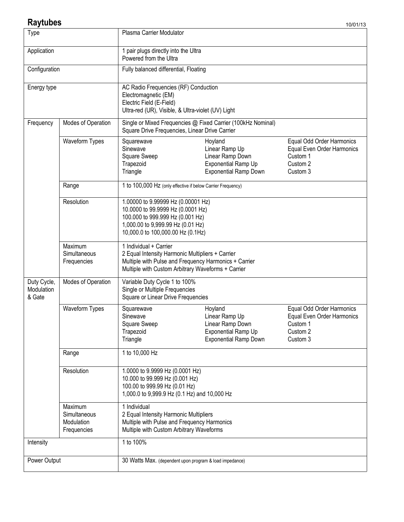## **Raytubes**

| <b>Type</b>                                                                                                                                                                                               |                                        | Plasma Carrier Modulator                                                                                                                                                                                    |  |                                                                                             |  |
|-----------------------------------------------------------------------------------------------------------------------------------------------------------------------------------------------------------|----------------------------------------|-------------------------------------------------------------------------------------------------------------------------------------------------------------------------------------------------------------|--|---------------------------------------------------------------------------------------------|--|
| Application                                                                                                                                                                                               |                                        | 1 pair plugs directly into the Ultra<br>Powered from the Ultra                                                                                                                                              |  |                                                                                             |  |
| Configuration                                                                                                                                                                                             |                                        | Fully balanced differential, Floating                                                                                                                                                                       |  |                                                                                             |  |
| Energy type                                                                                                                                                                                               |                                        | AC Radio Frequencies (RF) Conduction<br>Electromagnetic (EM)<br>Electric Field (E-Field)<br>Ultra-red (UR), Visible, & Ultra-violet (UV) Light                                                              |  |                                                                                             |  |
| Frequency                                                                                                                                                                                                 | Modes of Operation                     | Single or Mixed Frequencies @ Fixed Carrier (100kHz Nominal)<br>Square Drive Frequencies, Linear Drive Carrier                                                                                              |  |                                                                                             |  |
|                                                                                                                                                                                                           | Waveform Types                         | Hoyland<br>Squarewave<br>Sinewave<br>Linear Ramp Up<br>Square Sweep<br>Linear Ramp Down<br>Custom 1<br>Trapezoid<br>Exponential Ramp Up<br>Custom 2<br>Triangle<br><b>Exponential Ramp Down</b><br>Custom 3 |  | Equal Odd Order Harmonics<br>Equal Even Order Harmonics                                     |  |
|                                                                                                                                                                                                           | Range                                  | 1 to 100,000 Hz (only effective if below Carrier Frequency)                                                                                                                                                 |  |                                                                                             |  |
|                                                                                                                                                                                                           | Resolution                             | 1.00000 to 9.99999 Hz (0.00001 Hz)<br>10.0000 to 99.9999 Hz (0.0001 Hz)<br>100.000 to 999.999 Hz (0.001 Hz)<br>1,000.00 to 9,999.99 Hz (0.01 Hz)<br>10,000.0 to 100,000.00 Hz (0.1Hz)                       |  |                                                                                             |  |
|                                                                                                                                                                                                           | Maximum<br>Simultaneous<br>Frequencies | 1 Individual + Carrier<br>2 Equal Intensity Harmonic Multipliers + Carrier<br>Multiple with Pulse and Frequency Harmonics + Carrier<br>Multiple with Custom Arbitrary Waveforms + Carrier                   |  |                                                                                             |  |
| Duty Cycle,<br>Modulation<br>& Gate                                                                                                                                                                       | Modes of Operation                     | Variable Duty Cycle 1 to 100%<br>Single or Multiple Frequencies<br>Square or Linear Drive Frequencies                                                                                                       |  |                                                                                             |  |
|                                                                                                                                                                                                           | Waveform Types                         | Hoyland<br>Squarewave<br>Sinewave<br>Linear Ramp Up<br>Square Sweep<br>Linear Ramp Down<br><b>Exponential Ramp Up</b><br>Trapezoid<br><b>Exponential Ramp Down</b><br>Triangle                              |  | Equal Odd Order Harmonics<br>Equal Even Order Harmonics<br>Custom 1<br>Custom 2<br>Custom 3 |  |
|                                                                                                                                                                                                           | Range                                  | 1 to 10,000 Hz                                                                                                                                                                                              |  |                                                                                             |  |
|                                                                                                                                                                                                           | Resolution                             | 1.0000 to 9.9999 Hz (0.0001 Hz)<br>10.000 to 99.999 Hz (0.001 Hz)<br>100.00 to 999.99 Hz (0.01 Hz)<br>1,000.0 to 9,999.9 Hz (0.1 Hz) and 10,000 Hz                                                          |  |                                                                                             |  |
| 1 Individual<br>Maximum<br>2 Equal Intensity Harmonic Multipliers<br>Simultaneous<br>Multiple with Pulse and Frequency Harmonics<br>Modulation<br>Frequencies<br>Multiple with Custom Arbitrary Waveforms |                                        |                                                                                                                                                                                                             |  |                                                                                             |  |
| Intensity                                                                                                                                                                                                 |                                        | 1 to 100%                                                                                                                                                                                                   |  |                                                                                             |  |
| Power Output                                                                                                                                                                                              |                                        | 30 Watts Max. (dependent upon program & load impedance)                                                                                                                                                     |  |                                                                                             |  |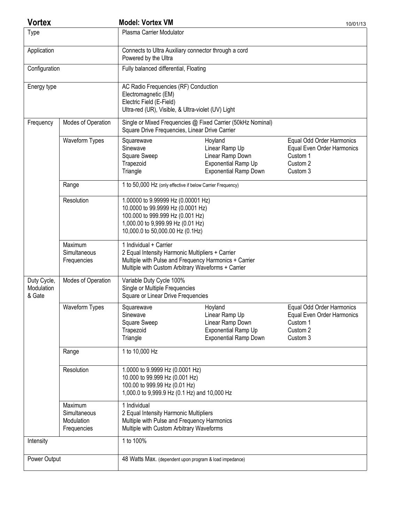| <b>Vortex</b>                       |                                                      | <b>Model: Vortex VM</b>                                                                                                                                                                   |                                                                                                      | 10/01/13                                                                                    |  |
|-------------------------------------|------------------------------------------------------|-------------------------------------------------------------------------------------------------------------------------------------------------------------------------------------------|------------------------------------------------------------------------------------------------------|---------------------------------------------------------------------------------------------|--|
| Type                                |                                                      | Plasma Carrier Modulator                                                                                                                                                                  |                                                                                                      |                                                                                             |  |
| Application                         |                                                      | Powered by the Ultra                                                                                                                                                                      | Connects to Ultra Auxiliary connector through a cord                                                 |                                                                                             |  |
| Configuration                       |                                                      | Fully balanced differential, Floating                                                                                                                                                     |                                                                                                      |                                                                                             |  |
| Energy type                         |                                                      | AC Radio Frequencies (RF) Conduction<br>Electromagnetic (EM)<br>Electric Field (E-Field)<br>Ultra-red (UR), Visible, & Ultra-violet (UV) Light                                            |                                                                                                      |                                                                                             |  |
| Frequency                           | Modes of Operation                                   | Square Drive Frequencies, Linear Drive Carrier                                                                                                                                            | Single or Mixed Frequencies @ Fixed Carrier (50kHz Nominal)                                          |                                                                                             |  |
|                                     | Waveform Types                                       | Squarewave<br>Sinewave<br>Square Sweep<br>Trapezoid<br>Triangle                                                                                                                           | Hoyland<br>Linear Ramp Up<br>Linear Ramp Down<br>Exponential Ramp Up<br><b>Exponential Ramp Down</b> | Equal Odd Order Harmonics<br>Equal Even Order Harmonics<br>Custom 1<br>Custom 2<br>Custom 3 |  |
|                                     | Range                                                | 1 to 50,000 Hz (only effective if below Carrier Frequency)                                                                                                                                |                                                                                                      |                                                                                             |  |
|                                     | Resolution                                           | 1.00000 to 9.99999 Hz (0.00001 Hz)<br>10.0000 to 99.9999 Hz (0.0001 Hz)<br>100.000 to 999.999 Hz (0.001 Hz)<br>1,000.00 to 9,999.99 Hz (0.01 Hz)<br>10,000.0 to 50,000.00 Hz (0.1Hz)      |                                                                                                      |                                                                                             |  |
|                                     | Maximum<br>Simultaneous<br>Frequencies               | 1 Individual + Carrier<br>2 Equal Intensity Harmonic Multipliers + Carrier<br>Multiple with Pulse and Frequency Harmonics + Carrier<br>Multiple with Custom Arbitrary Waveforms + Carrier |                                                                                                      |                                                                                             |  |
| Duty Cycle,<br>Modulation<br>& Gate | Modes of Operation                                   | Variable Duty Cycle 100%<br>Single or Multiple Frequencies<br>Square or Linear Drive Frequencies                                                                                          |                                                                                                      |                                                                                             |  |
|                                     | Waveform Types                                       | Squarewave<br>Sinewave<br>Square Sweep<br>Trapezoid<br>Triangle                                                                                                                           | Hoyland<br>Linear Ramp Up<br>Linear Ramp Down<br>Exponential Ramp Up<br><b>Exponential Ramp Down</b> | Equal Odd Order Harmonics<br>Equal Even Order Harmonics<br>Custom 1<br>Custom 2<br>Custom 3 |  |
|                                     | Range                                                | 1 to 10,000 Hz                                                                                                                                                                            |                                                                                                      |                                                                                             |  |
|                                     | Resolution                                           | 1.0000 to 9.9999 Hz (0.0001 Hz)<br>10.000 to 99.999 Hz (0.001 Hz)<br>100.00 to 999.99 Hz (0.01 Hz)<br>1,000.0 to 9,999.9 Hz (0.1 Hz) and 10,000 Hz                                        |                                                                                                      |                                                                                             |  |
|                                     | Maximum<br>Simultaneous<br>Modulation<br>Frequencies | 1 Individual<br>2 Equal Intensity Harmonic Multipliers<br>Multiple with Pulse and Frequency Harmonics<br>Multiple with Custom Arbitrary Waveforms                                         |                                                                                                      |                                                                                             |  |
| Intensity                           |                                                      | 1 to 100%                                                                                                                                                                                 |                                                                                                      |                                                                                             |  |
| Power Output                        |                                                      |                                                                                                                                                                                           | 48 Watts Max. (dependent upon program & load impedance)                                              |                                                                                             |  |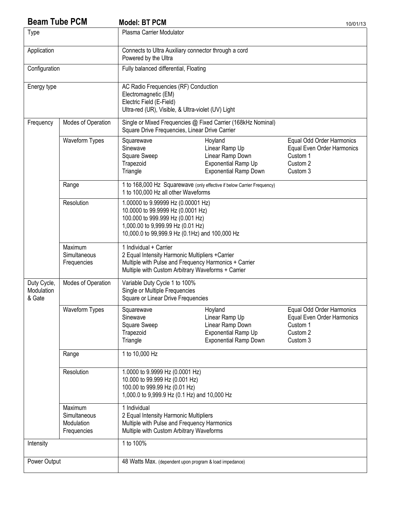| <b>Beam Tube PCM</b>                                                                                                                                                                                      |                                        | <b>Model: BT PCM</b>                                                                                                                                                                               |                                                                                                             | 10/01/13                                                                                    |
|-----------------------------------------------------------------------------------------------------------------------------------------------------------------------------------------------------------|----------------------------------------|----------------------------------------------------------------------------------------------------------------------------------------------------------------------------------------------------|-------------------------------------------------------------------------------------------------------------|---------------------------------------------------------------------------------------------|
| <b>Type</b>                                                                                                                                                                                               |                                        | Plasma Carrier Modulator                                                                                                                                                                           |                                                                                                             |                                                                                             |
| Application                                                                                                                                                                                               |                                        | Powered by the Ultra                                                                                                                                                                               | Connects to Ultra Auxiliary connector through a cord                                                        |                                                                                             |
| Configuration                                                                                                                                                                                             |                                        | Fully balanced differential, Floating                                                                                                                                                              |                                                                                                             |                                                                                             |
| Energy type                                                                                                                                                                                               |                                        | AC Radio Frequencies (RF) Conduction<br>Electromagnetic (EM)<br>Electric Field (E-Field)<br>Ultra-red (UR), Visible, & Ultra-violet (UV) Light                                                     |                                                                                                             |                                                                                             |
| Frequency                                                                                                                                                                                                 | Modes of Operation                     | Square Drive Frequencies, Linear Drive Carrier                                                                                                                                                     | Single or Mixed Frequencies @ Fixed Carrier (168kHz Nominal)                                                |                                                                                             |
|                                                                                                                                                                                                           | Waveform Types                         | Squarewave<br>Sinewave<br>Square Sweep<br>Trapezoid<br>Triangle                                                                                                                                    | Hoyland<br>Linear Ramp Up<br>Linear Ramp Down<br><b>Exponential Ramp Up</b><br><b>Exponential Ramp Down</b> | Equal Odd Order Harmonics<br>Equal Even Order Harmonics<br>Custom 1<br>Custom 2<br>Custom 3 |
|                                                                                                                                                                                                           | Range                                  | 1 to 100,000 Hz all other Waveforms                                                                                                                                                                | 1 to 168,000 Hz Squarewave (only effective if below Carrier Frequency)                                      |                                                                                             |
|                                                                                                                                                                                                           | Resolution                             | 1.00000 to 9.99999 Hz (0.00001 Hz)<br>10.0000 to 99.9999 Hz (0.0001 Hz)<br>100.000 to 999.999 Hz (0.001 Hz)<br>1,000.00 to 9,999.99 Hz (0.01 Hz)<br>10,000.0 to 99,999.9 Hz (0.1Hz) and 100,000 Hz |                                                                                                             |                                                                                             |
|                                                                                                                                                                                                           | Maximum<br>Simultaneous<br>Frequencies | 1 Individual + Carrier<br>2 Equal Intensity Harmonic Multipliers +Carrier<br>Multiple with Pulse and Frequency Harmonics + Carrier<br>Multiple with Custom Arbitrary Waveforms + Carrier           |                                                                                                             |                                                                                             |
| Duty Cycle,<br>Modulation<br>& Gate                                                                                                                                                                       | Modes of Operation                     | Variable Duty Cycle 1 to 100%<br>Single or Multiple Frequencies<br>Square or Linear Drive Frequencies                                                                                              |                                                                                                             |                                                                                             |
|                                                                                                                                                                                                           | Waveform Types                         | Squarewave<br>Sinewave<br>Square Sweep<br>Trapezoid<br>Triangle                                                                                                                                    | Hoyland<br>Linear Ramp Up<br>Linear Ramp Down<br>Exponential Ramp Up<br><b>Exponential Ramp Down</b>        | Equal Odd Order Harmonics<br>Equal Even Order Harmonics<br>Custom 1<br>Custom 2<br>Custom 3 |
|                                                                                                                                                                                                           | Range                                  | 1 to 10,000 Hz                                                                                                                                                                                     |                                                                                                             |                                                                                             |
|                                                                                                                                                                                                           | Resolution                             | 1.0000 to 9.9999 Hz (0.0001 Hz)<br>10.000 to 99.999 Hz (0.001 Hz)<br>100.00 to 999.99 Hz (0.01 Hz)<br>1,000.0 to 9,999.9 Hz (0.1 Hz) and 10,000 Hz                                                 |                                                                                                             |                                                                                             |
| Maximum<br>1 Individual<br>Simultaneous<br>2 Equal Intensity Harmonic Multipliers<br>Multiple with Pulse and Frequency Harmonics<br>Modulation<br>Multiple with Custom Arbitrary Waveforms<br>Frequencies |                                        |                                                                                                                                                                                                    |                                                                                                             |                                                                                             |
| Intensity                                                                                                                                                                                                 |                                        | 1 to 100%                                                                                                                                                                                          |                                                                                                             |                                                                                             |
| Power Output                                                                                                                                                                                              |                                        | 48 Watts Max. (dependent upon program & load impedance)                                                                                                                                            |                                                                                                             |                                                                                             |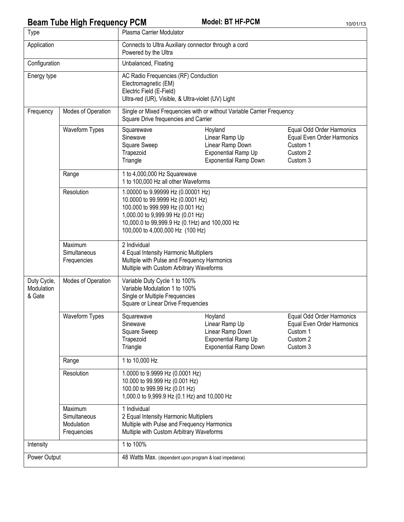# **Beam Tube High Frequency PCM** Model: BT HF-PCM 10/01/13

| Type                                |                                                      | Plasma Carrier Modulator                                                                                                                                                                                                               |                                                                                                             |                                                                                             |  |
|-------------------------------------|------------------------------------------------------|----------------------------------------------------------------------------------------------------------------------------------------------------------------------------------------------------------------------------------------|-------------------------------------------------------------------------------------------------------------|---------------------------------------------------------------------------------------------|--|
| Application                         |                                                      | Connects to Ultra Auxiliary connector through a cord<br>Powered by the Ultra                                                                                                                                                           |                                                                                                             |                                                                                             |  |
| Configuration                       |                                                      | Unbalanced, Floating                                                                                                                                                                                                                   |                                                                                                             |                                                                                             |  |
| Energy type                         |                                                      | AC Radio Frequencies (RF) Conduction<br>Electromagnetic (EM)<br>Electric Field (E-Field)<br>Ultra-red (UR), Visible, & Ultra-violet (UV) Light                                                                                         |                                                                                                             |                                                                                             |  |
| Frequency                           | Modes of Operation                                   | Single or Mixed Frequencies with or without Variable Carrier Frequency<br>Square Drive frequencies and Carrier                                                                                                                         |                                                                                                             |                                                                                             |  |
|                                     | Waveform Types                                       | Squarewave<br>Sinewave<br>Square Sweep<br>Trapezoid<br>Triangle                                                                                                                                                                        | Hoyland<br>Linear Ramp Up<br>Linear Ramp Down<br>Exponential Ramp Up<br><b>Exponential Ramp Down</b>        | Equal Odd Order Harmonics<br>Equal Even Order Harmonics<br>Custom 1<br>Custom 2<br>Custom 3 |  |
|                                     | Range                                                | 1 to 4,000,000 Hz Squarewave<br>1 to 100,000 Hz all other Waveforms                                                                                                                                                                    |                                                                                                             |                                                                                             |  |
|                                     | Resolution                                           | 1.00000 to 9.99999 Hz (0.00001 Hz)<br>10.0000 to 99.9999 Hz (0.0001 Hz)<br>100.000 to 999.999 Hz (0.001 Hz)<br>1,000.00 to 9,999.99 Hz (0.01 Hz)<br>10,000.0 to 99,999.9 Hz (0.1Hz) and 100,000 Hz<br>100,000 to 4,000,000 Hz (100 Hz) |                                                                                                             |                                                                                             |  |
|                                     | Maximum<br>Simultaneous<br>Frequencies               | 2 Individual<br>4 Equal Intensity Harmonic Multipliers<br>Multiple with Pulse and Frequency Harmonics<br>Multiple with Custom Arbitrary Waveforms                                                                                      |                                                                                                             |                                                                                             |  |
| Duty Cycle,<br>Modulation<br>& Gate | Modes of Operation                                   | Variable Duty Cycle 1 to 100%<br>Variable Modulation 1 to 100%<br>Single or Multiple Frequencies<br>Square or Linear Drive Frequencies                                                                                                 |                                                                                                             |                                                                                             |  |
|                                     | Waveform Types                                       | Squarewave<br>Sinewave<br>Square Sweep<br>Trapezoid<br>Triangle                                                                                                                                                                        | Hoyland<br>Linear Ramp Up<br>Linear Ramp Down<br><b>Exponential Ramp Up</b><br><b>Exponential Ramp Down</b> | Equal Odd Order Harmonics<br>Equal Even Order Harmonics<br>Custom 1<br>Custom 2<br>Custom 3 |  |
|                                     | Range                                                | 1 to 10,000 Hz                                                                                                                                                                                                                         |                                                                                                             |                                                                                             |  |
|                                     | Resolution                                           | 1.0000 to 9.9999 Hz (0.0001 Hz)<br>10.000 to 99.999 Hz (0.001 Hz)<br>100.00 to 999.99 Hz (0.01 Hz)<br>1,000.0 to 9,999.9 Hz (0.1 Hz) and 10,000 Hz                                                                                     |                                                                                                             |                                                                                             |  |
|                                     | Maximum<br>Simultaneous<br>Modulation<br>Frequencies | 1 Individual<br>2 Equal Intensity Harmonic Multipliers<br>Multiple with Pulse and Frequency Harmonics<br>Multiple with Custom Arbitrary Waveforms                                                                                      |                                                                                                             |                                                                                             |  |
| Intensity                           |                                                      | 1 to 100%                                                                                                                                                                                                                              |                                                                                                             |                                                                                             |  |
| Power Output                        |                                                      | 48 Watts Max. (dependent upon program & load impedance)                                                                                                                                                                                |                                                                                                             |                                                                                             |  |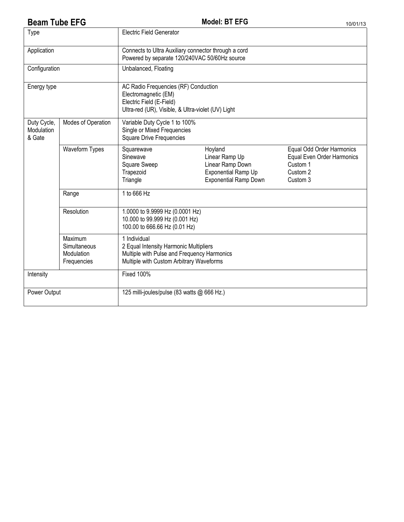# **Beam Tube EFG** 10/01/13

| <b>Electric Field Generator</b><br>Type |                                                      |                                                                                                                                                   |                                                                                                             |                                                                                             |  |
|-----------------------------------------|------------------------------------------------------|---------------------------------------------------------------------------------------------------------------------------------------------------|-------------------------------------------------------------------------------------------------------------|---------------------------------------------------------------------------------------------|--|
| Application                             |                                                      | Connects to Ultra Auxiliary connector through a cord<br>Powered by separate 120/240VAC 50/60Hz source                                             |                                                                                                             |                                                                                             |  |
| Configuration                           |                                                      | Unbalanced, Floating                                                                                                                              |                                                                                                             |                                                                                             |  |
| Energy type                             |                                                      | AC Radio Frequencies (RF) Conduction<br>Electromagnetic (EM)<br>Electric Field (E-Field)<br>Ultra-red (UR), Visible, & Ultra-violet (UV) Light    |                                                                                                             |                                                                                             |  |
| Duty Cycle,<br>Modulation<br>& Gate     | Modes of Operation                                   | Variable Duty Cycle 1 to 100%<br>Single or Mixed Frequencies<br><b>Square Drive Frequencies</b>                                                   |                                                                                                             |                                                                                             |  |
|                                         | Waveform Types                                       | Squarewave<br>Sinewave<br>Square Sweep<br>Trapezoid<br>Triangle                                                                                   | Hoyland<br>Linear Ramp Up<br>Linear Ramp Down<br><b>Exponential Ramp Up</b><br><b>Exponential Ramp Down</b> | Equal Odd Order Harmonics<br>Equal Even Order Harmonics<br>Custom 1<br>Custom 2<br>Custom 3 |  |
|                                         | Range                                                | 1 to 666 Hz                                                                                                                                       |                                                                                                             |                                                                                             |  |
|                                         | Resolution                                           | 1.0000 to 9.9999 Hz (0.0001 Hz)<br>10.000 to 99.999 Hz (0.001 Hz)<br>100.00 to 666.66 Hz (0.01 Hz)                                                |                                                                                                             |                                                                                             |  |
|                                         | Maximum<br>Simultaneous<br>Modulation<br>Frequencies | 1 Individual<br>2 Equal Intensity Harmonic Multipliers<br>Multiple with Pulse and Frequency Harmonics<br>Multiple with Custom Arbitrary Waveforms |                                                                                                             |                                                                                             |  |
| Intensity                               |                                                      | <b>Fixed 100%</b>                                                                                                                                 |                                                                                                             |                                                                                             |  |
| Power Output                            |                                                      | 125 milli-joules/pulse (83 watts @ 666 Hz.)                                                                                                       |                                                                                                             |                                                                                             |  |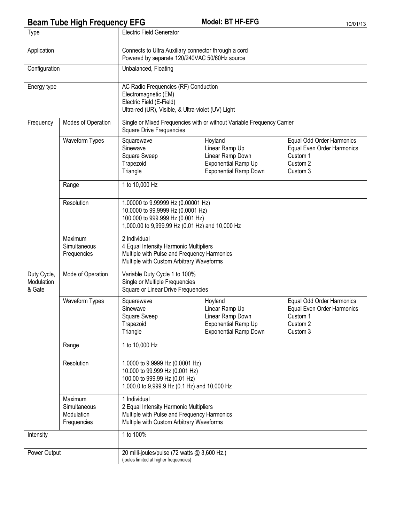## **Beam Tube High Frequency EFG** Model: BT HF-EFG 10/01/13

| Type                                                                                                                                                             |                                                      | <b>Electric Field Generator</b>                                                                                                                                                |                                                                                                             |                                                                                             |  |
|------------------------------------------------------------------------------------------------------------------------------------------------------------------|------------------------------------------------------|--------------------------------------------------------------------------------------------------------------------------------------------------------------------------------|-------------------------------------------------------------------------------------------------------------|---------------------------------------------------------------------------------------------|--|
| Application                                                                                                                                                      |                                                      | Connects to Ultra Auxiliary connector through a cord<br>Powered by separate 120/240VAC 50/60Hz source                                                                          |                                                                                                             |                                                                                             |  |
| Configuration                                                                                                                                                    |                                                      | Unbalanced, Floating                                                                                                                                                           |                                                                                                             |                                                                                             |  |
| Energy type                                                                                                                                                      |                                                      | AC Radio Frequencies (RF) Conduction<br>Electromagnetic (EM)<br>Electric Field (E-Field)<br>Ultra-red (UR), Visible, & Ultra-violet (UV) Light                                 |                                                                                                             |                                                                                             |  |
| Frequency                                                                                                                                                        | Modes of Operation                                   | Single or Mixed Frequencies with or without Variable Frequency Carrier<br><b>Square Drive Frequencies</b>                                                                      |                                                                                                             |                                                                                             |  |
|                                                                                                                                                                  | Waveform Types                                       | Squarewave<br>Sinewave<br>Square Sweep<br>Trapezoid<br>Triangle                                                                                                                | Hoyland<br>Linear Ramp Up<br>Linear Ramp Down<br><b>Exponential Ramp Up</b><br><b>Exponential Ramp Down</b> | Equal Odd Order Harmonics<br>Equal Even Order Harmonics<br>Custom 1<br>Custom 2<br>Custom 3 |  |
|                                                                                                                                                                  | Range                                                | 1 to 10,000 Hz                                                                                                                                                                 |                                                                                                             |                                                                                             |  |
|                                                                                                                                                                  | Resolution                                           | 1.00000 to 9.99999 Hz (0.00001 Hz)<br>10.0000 to 99.9999 Hz (0.0001 Hz)<br>100.000 to 999.999 Hz (0.001 Hz)<br>1,000.00 to 9,999.99 Hz (0.01 Hz) and 10,000 Hz                 |                                                                                                             |                                                                                             |  |
|                                                                                                                                                                  | Maximum<br>Simultaneous<br>Frequencies               | 2 Individual<br>4 Equal Intensity Harmonic Multipliers<br>Multiple with Pulse and Frequency Harmonics<br>Multiple with Custom Arbitrary Waveforms                              |                                                                                                             |                                                                                             |  |
| Duty Cycle,<br>Modulation<br>& Gate                                                                                                                              | Mode of Operation                                    | Variable Duty Cycle 1 to 100%<br>Single or Multiple Frequencies<br>Square or Linear Drive Frequencies                                                                          |                                                                                                             |                                                                                             |  |
|                                                                                                                                                                  | Waveform Types                                       | Hoyland<br>Squarewave<br>Linear Ramp Up<br>Sinewave<br>Linear Ramp Down<br>Square Sweep<br>Trapezoid<br><b>Exponential Ramp Up</b><br><b>Exponential Ramp Down</b><br>Triangle |                                                                                                             | Equal Odd Order Harmonics<br>Equal Even Order Harmonics<br>Custom 1<br>Custom 2<br>Custom 3 |  |
|                                                                                                                                                                  | Range                                                | 1 to 10,000 Hz                                                                                                                                                                 |                                                                                                             |                                                                                             |  |
| Resolution<br>1.0000 to 9.9999 Hz (0.0001 Hz)<br>10.000 to 99.999 Hz (0.001 Hz)<br>100.00 to 999.99 Hz (0.01 Hz)<br>1,000.0 to 9,999.9 Hz (0.1 Hz) and 10,000 Hz |                                                      |                                                                                                                                                                                |                                                                                                             |                                                                                             |  |
|                                                                                                                                                                  | Maximum<br>Simultaneous<br>Modulation<br>Frequencies | 1 Individual<br>2 Equal Intensity Harmonic Multipliers<br>Multiple with Pulse and Frequency Harmonics<br>Multiple with Custom Arbitrary Waveforms                              |                                                                                                             |                                                                                             |  |
| Intensity                                                                                                                                                        |                                                      | 1 to 100%                                                                                                                                                                      |                                                                                                             |                                                                                             |  |
| Power Output                                                                                                                                                     |                                                      | 20 milli-joules/pulse (72 watts @ 3,600 Hz.)<br>(joules limited at higher frequencies)                                                                                         |                                                                                                             |                                                                                             |  |